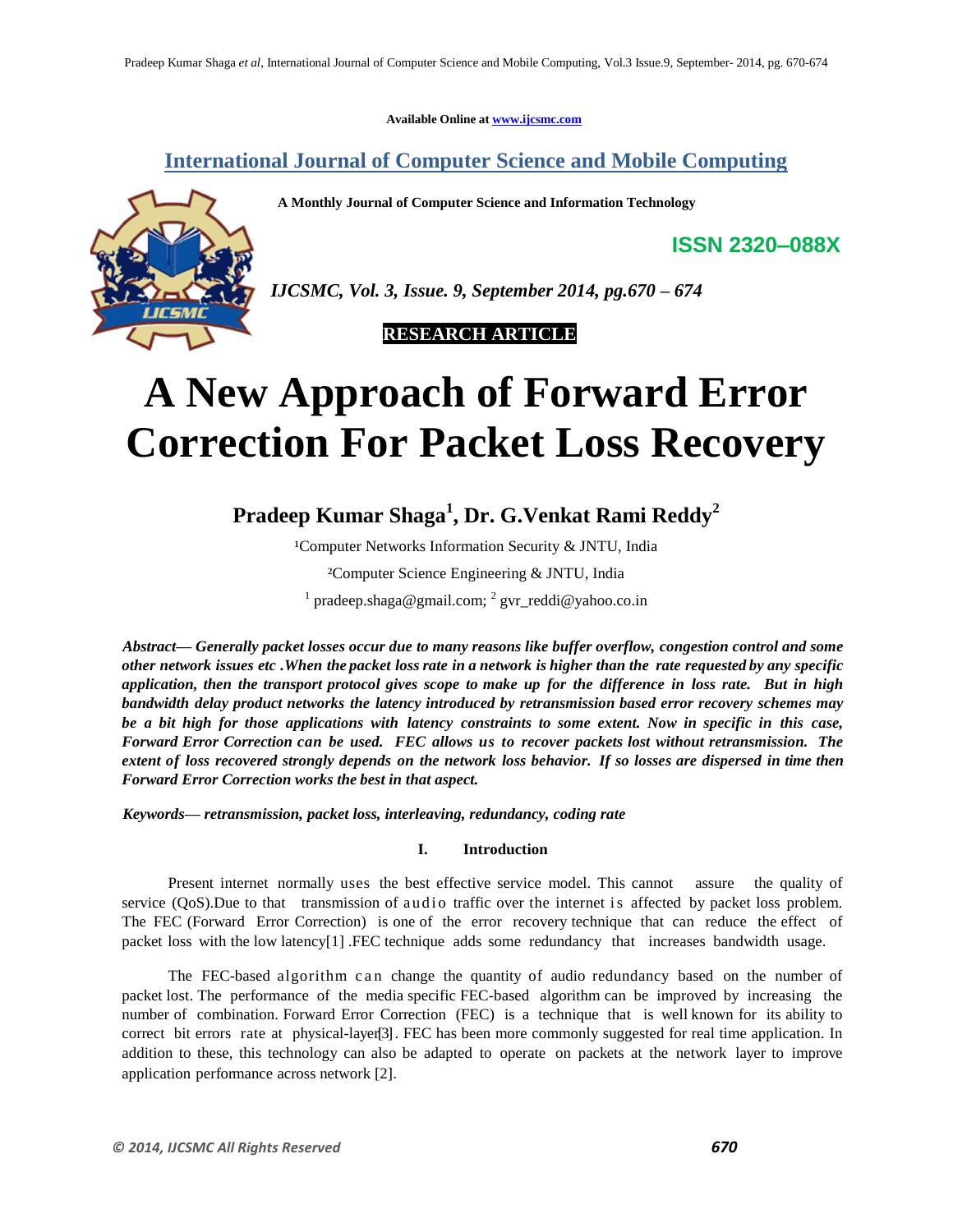**Available Online at [www.ijcsmc.com](http://www.ijcsmc.com/)**

**International Journal of Computer Science and Mobile Computing**

 **A Monthly Journal of Computer Science and Information Technology**



*IJCSMC, Vol. 3, Issue. 9, September 2014, pg.670 – 674*

# **RESEARCH ARTICLE**

# **A New Approach of Forward Error Correction For Packet Loss Recovery**

# **Pradeep Kumar Shaga<sup>1</sup> , Dr. G.Venkat Rami Reddy<sup>2</sup>**

<sup>1</sup>Computer Networks Information Security & JNTU, India ²Computer Science Engineering & JNTU, India

<sup>1</sup> pradeep.shaga@gmail.com; <sup>2</sup> gvr\_reddi@yahoo.co.in

*Abstract— Generally packet losses occur due to many reasons like buffer overflow, congestion control and some other network issues etc .When the packet loss rate in a network is higher than the rate requested by any specific application, then the transport protocol gives scope to make up for the difference in loss rate. But in high bandwidth delay product networks the latency introduced by retransmission based error recovery schemes may be a bit high for those applications with latency constraints to some extent. Now in specific in this case, Forward Error Correction can be used. FEC allows us to recover packets lost without retransmission. The extent of loss recovered strongly depends on the network loss behavior. If so losses are dispersed in time then Forward Error Correction works the best in that aspect.*

*Keywords— retransmission, packet loss, interleaving, redundancy, coding rate*

## **I. Introduction**

Present internet normally uses the best effective service model. This cannot assure the quality of service (QoS).Due to that transmission of audio traffic over the internet is affected by packet loss problem. The FEC (Forward Error Correction) is one of the error recovery technique that can reduce the effect of packet loss with the low latency[1] .FEC technique adds some redundancy that increases bandwidth usage.

The FEC-based algorithm can change the quantity of audio redundancy based on the number of packet lost. The performance of the media specific FEC-based algorithm can be improved by increasing the number of combination. Forward Error Correction (FEC) is a technique that is well known for its ability to correct bit errors rate at physical-layer[3]. FEC has been more commonly suggested for real time application. In addition to these, this technology can also be adapted to operate on packets at the network layer to improve application performance across network [2].

**ISSN 2320–088X**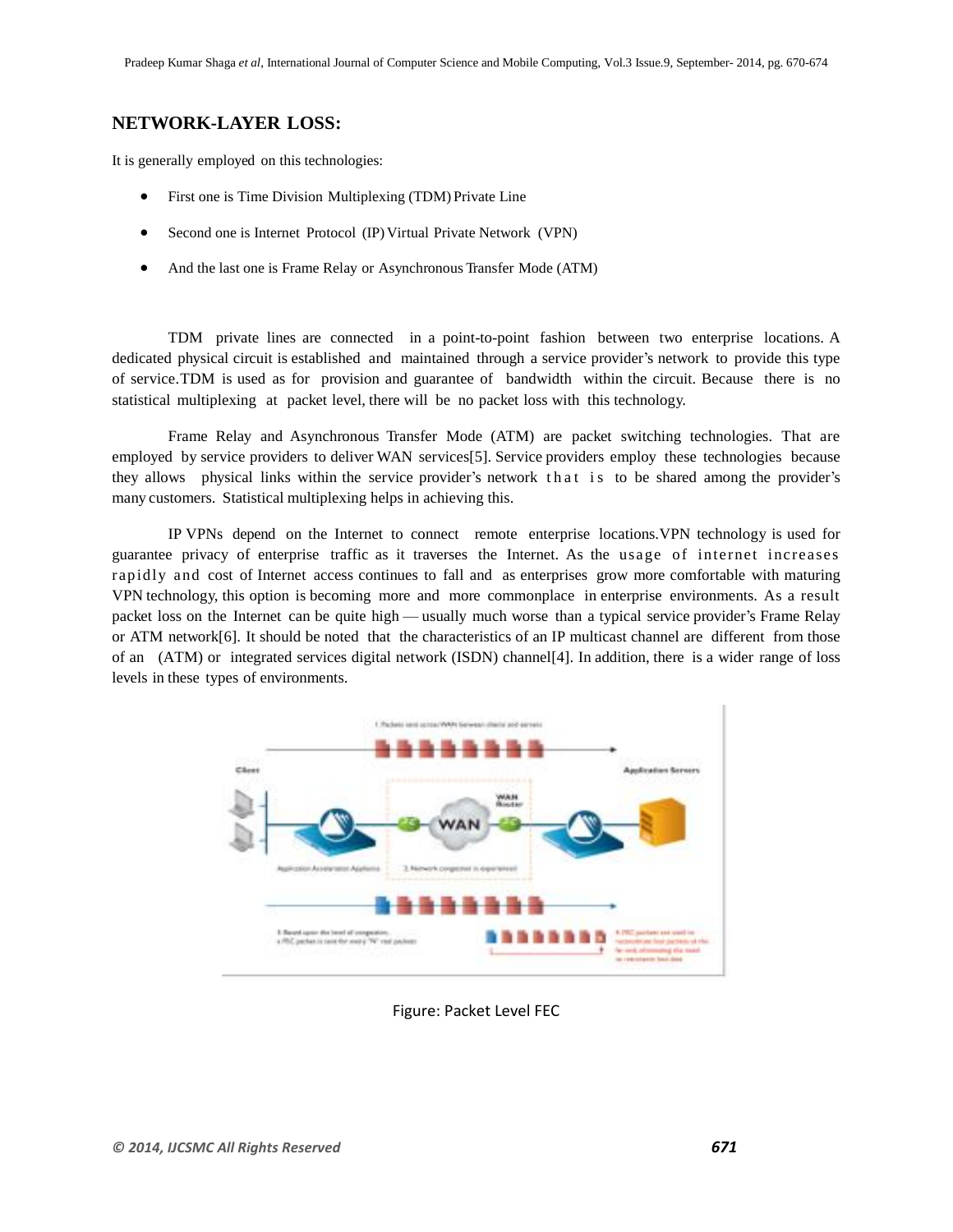## **NETWORK-LAYER LOSS:**

It is generally employed on this technologies:

- First one is Time Division Multiplexing (TDM) Private Line
- Second one is Internet Protocol (IP)Virtual Private Network (VPN)
- And the last one is Frame Relay or Asynchronous Transfer Mode (ATM)

TDM private lines are connected in a point-to-point fashion between two enterprise locations. A dedicated physical circuit is established and maintained through a service provider's network to provide this type of service.TDM is used as for provision and guarantee of bandwidth within the circuit. Because there is no statistical multiplexing at packet level, there will be no packet loss with this technology.

Frame Relay and Asynchronous Transfer Mode (ATM) are packet switching technologies. That are employed by service providers to deliver WAN services[5]. Service providers employ these technologies because they allows physical links within the service provider's network that is to be shared among the provider's many customers. Statistical multiplexing helps in achieving this.

IP VPNs depend on the Internet to connect remote enterprise locations.VPN technology is used for guarantee privacy of enterprise traffic as it traverses the Internet. As the usage of internet increases rapidly and cost of Internet access continues to fall and as enterprises grow more comfortable with maturing VPN technology, this option is becoming more and more commonplace in enterprise environments. As a result packet loss on the Internet can be quite high — usually much worse than a typical service provider's Frame Relay or ATM network[6]. It should be noted that the characteristics of an IP multicast channel are different from those of an (ATM) or integrated services digital network (ISDN) channel[4]. In addition, there is a wider range of loss levels in these types of environments.



Figure: Packet Level FEC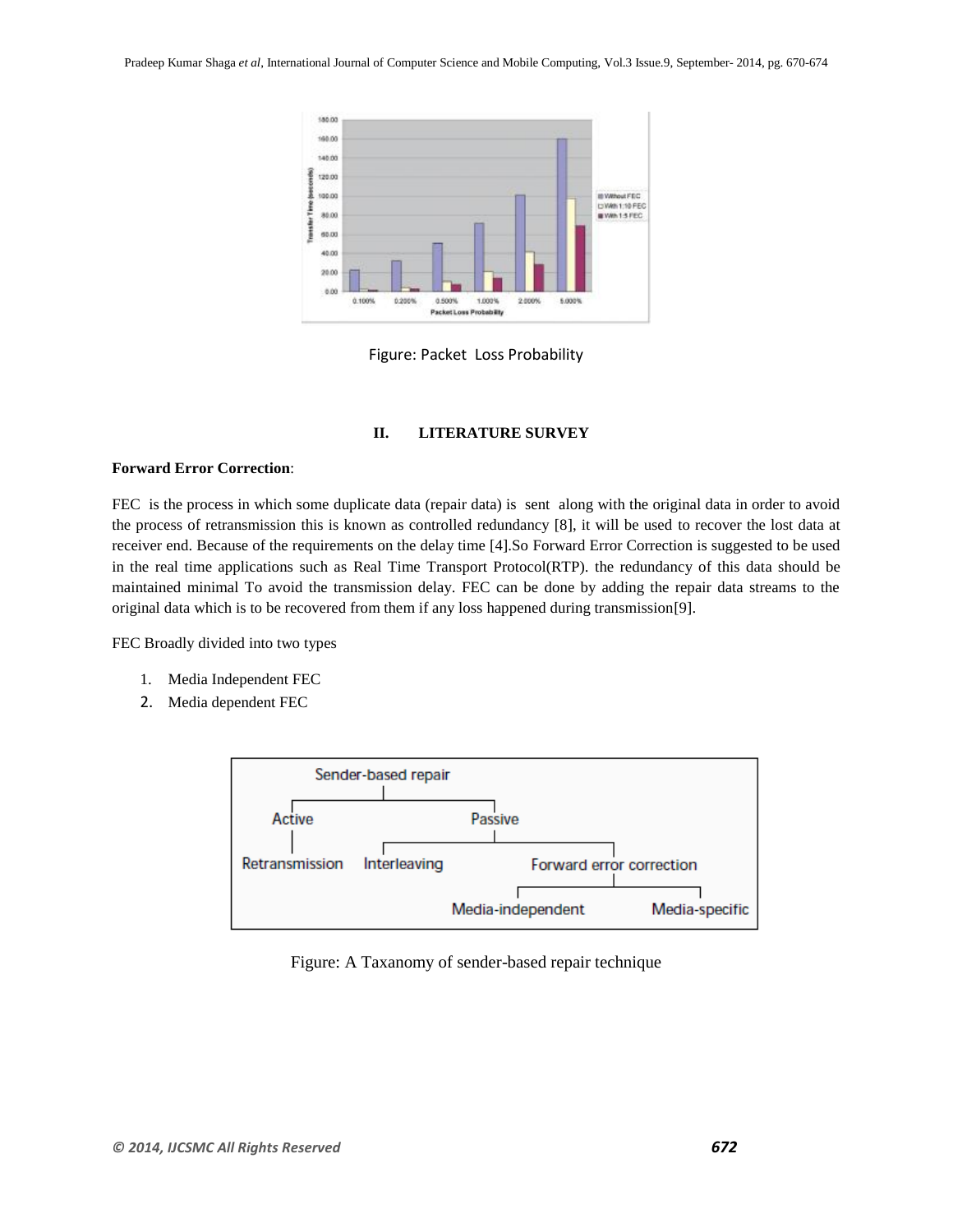

Figure: Packet Loss Probability

#### **II. LITERATURE SURVEY**

#### **Forward Error Correction**:

FEC is the process in which some duplicate data (repair data) is sent along with the original data in order to avoid the process of retransmission this is known as controlled redundancy [8], it will be used to recover the lost data at receiver end. Because of the requirements on the delay time [4].So Forward Error Correction is suggested to be used in the real time applications such as Real Time Transport Protocol(RTP). the redundancy of this data should be maintained minimal To avoid the transmission delay. FEC can be done by adding the repair data streams to the original data which is to be recovered from them if any loss happened during transmission[9].

FEC Broadly divided into two types

- 1. Media Independent FEC
- 2. Media dependent FEC



Figure: A Taxanomy of sender-based repair technique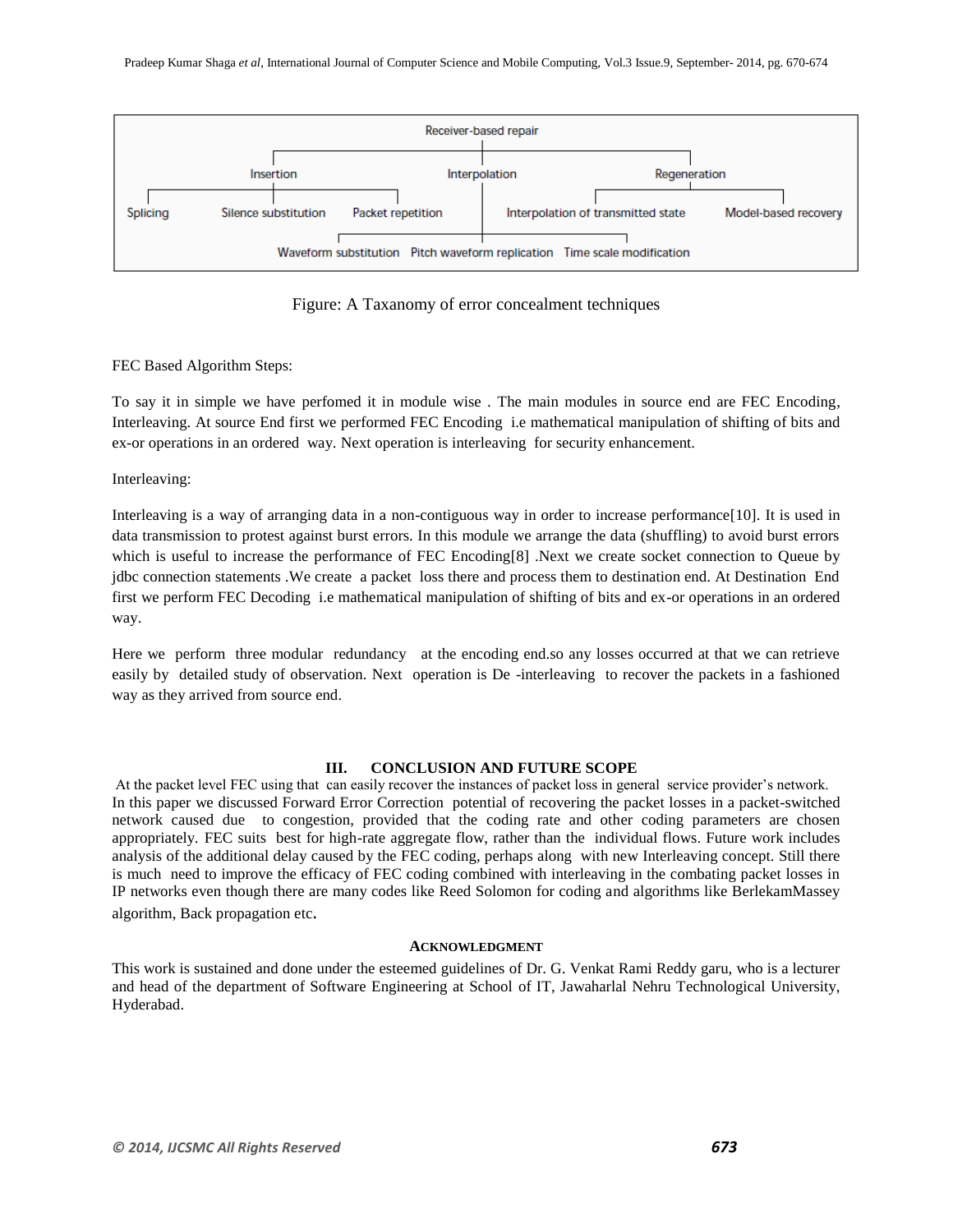

Figure: A Taxanomy of error concealment techniques

#### FEC Based Algorithm Steps:

To say it in simple we have perfomed it in module wise . The main modules in source end are FEC Encoding, Interleaving. At source End first we performed FEC Encoding i.e mathematical manipulation of shifting of bits and ex-or operations in an ordered way. Next operation is interleaving for security enhancement.

#### Interleaving:

Interleaving is a way of arranging data in a non-contiguous way in order to increase performance[10]. It is used in data transmission to protest against burst errors. In this module we arrange the data (shuffling) to avoid burst errors which is useful to increase the performance of FEC Encoding[8] .Next we create socket connection to Queue by jdbc connection statements .We create a packet loss there and process them to destination end. At Destination End first we perform FEC Decoding i.e mathematical manipulation of shifting of bits and ex-or operations in an ordered way.

Here we perform three modular redundancy at the encoding end.so any losses occurred at that we can retrieve easily by detailed study of observation. Next operation is De -interleaving to recover the packets in a fashioned way as they arrived from source end.

#### **III. CONCLUSION AND FUTURE SCOPE**

At the packet level FEC using that can easily recover the instances of packet loss in general service provider's network. In this paper we discussed Forward Error Correction potential of recovering the packet losses in a packet-switched network caused due to congestion, provided that the coding rate and other coding parameters are chosen appropriately. FEC suits best for high-rate aggregate flow, rather than the individual flows. Future work includes analysis of the additional delay caused by the FEC coding, perhaps along with new Interleaving concept. Still there is much need to improve the efficacy of FEC coding combined with interleaving in the combating packet losses in IP networks even though there are many codes like Reed Solomon for coding and algorithms like BerlekamMassey algorithm, Back propagation etc.

#### **ACKNOWLEDGMENT**

This work is sustained and done under the esteemed guidelines of Dr. G. Venkat Rami Reddy garu, who is a lecturer and head of the department of Software Engineering at School of IT, Jawaharlal Nehru Technological University, Hyderabad.